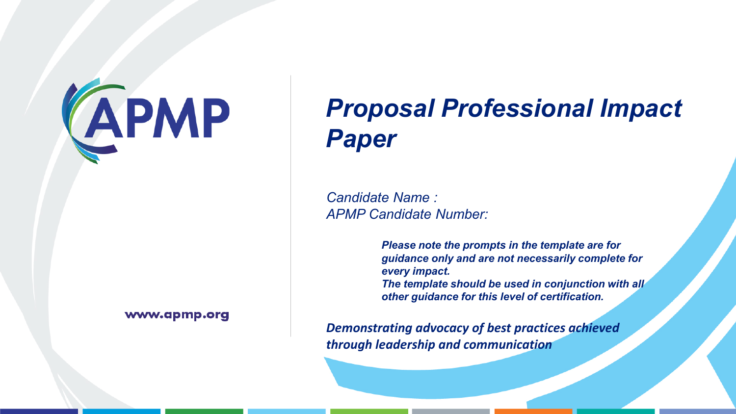# **CAPMP**

## www.apmp.org

# *Proposal Professional Impact Paper*

*Candidate Name : APMP Candidate Number:*

> *Please note the prompts in the template are for guidance only and are not necessarily complete for every impact.*

> *The template should be used in conjunction with all other guidance for this level of certification.*

*Demonstrating advocacy of best practices achieved through leadership and communication*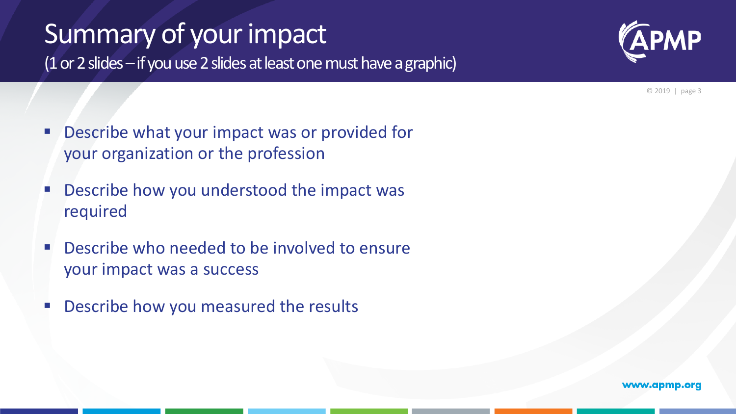# Summary of your impact

(1 or 2 slides –if you use 2 slides at least one must have a graphic)



© 2019 | page 3

- **Describe what your impact was or provided for** your organization or the profession
- **Describe how you understood the impact was** required
- **Describe who needed to be involved to ensure** your impact was a success
- **Describe how you measured the results**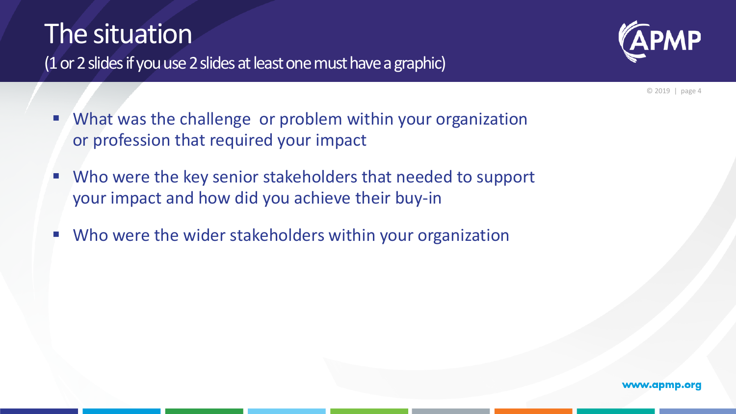# The situation





© 2019 | page 4

- What was the challenge or problem within your organization or profession that required your impact
- Who were the key senior stakeholders that needed to support your impact and how did you achieve their buy-in
- Who were the wider stakeholders within your organization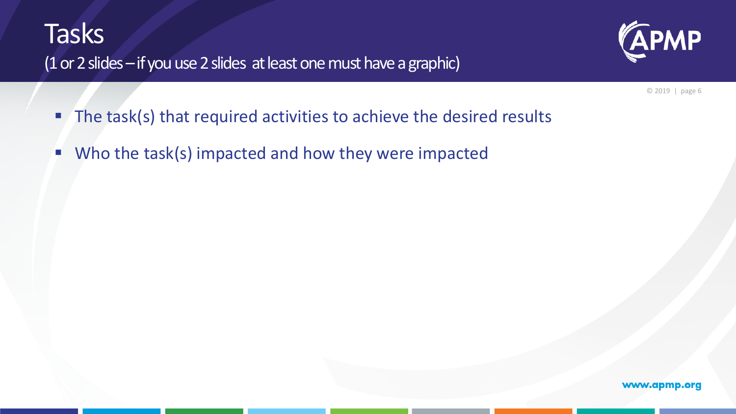## **Tasks** (1 or 2 slides – if you use 2 slides at least one must have a graphic)



© 2019 | page 6

- The task(s) that required activities to achieve the desired results
- Who the task(s) impacted and how they were impacted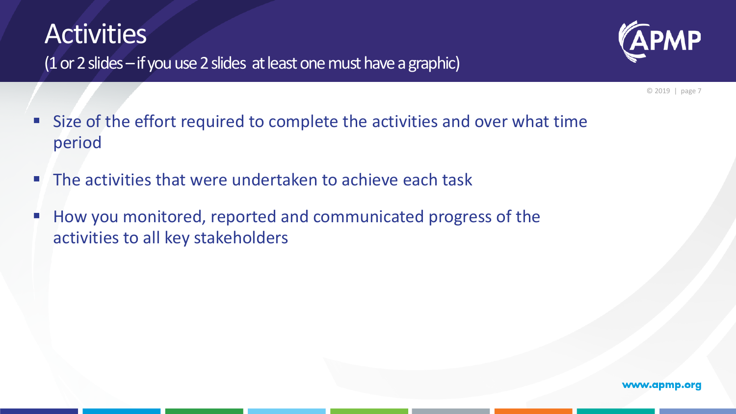# **Activities**



(1 or 2 slides  $-$  if you use 2 slides at least one must have a graphic)

© 2019 | page 7

- Size of the effort required to complete the activities and over what time period
- **The activities that were undertaken to achieve each task**
- How you monitored, reported and communicated progress of the activities to all key stakeholders

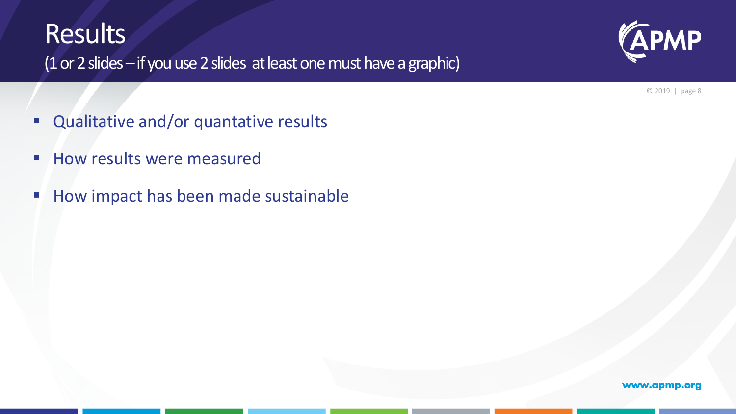## **Results**



(1 or 2 slides – if you use 2 slides at least one must have a graphic)

© 2019 | page 8

- **Qualitative and/or quantative results**
- **How results were measured**
- How impact has been made sustainable